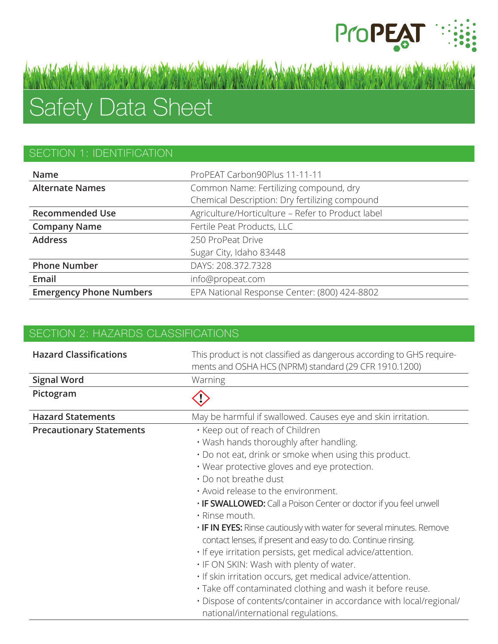

# Safety Data Sheet

## SECTION 1: IDENTIFICATION

| <b>Name</b>                    | ProPEAT Carbon90Plus 11-11-11                     |
|--------------------------------|---------------------------------------------------|
| <b>Alternate Names</b>         | Common Name: Fertilizing compound, dry            |
|                                | Chemical Description: Dry fertilizing compound    |
| <b>Recommended Use</b>         | Agriculture/Horticulture - Refer to Product label |
| <b>Company Name</b>            | Fertile Peat Products, LLC                        |
| <b>Address</b>                 | 250 ProPeat Drive                                 |
|                                | Sugar City, Idaho 83448                           |
| <b>Phone Number</b>            | DAYS: 208.372.7328                                |
| Email                          | info@propeat.com                                  |
| <b>Emergency Phone Numbers</b> | EPA National Response Center: (800) 424-8802      |

an valorent de danske en man von odkunte kolden, na endeligten i han valorent de danske en man von odkunte ko

| SECTION 2: HAZARDS CLASSIFICATIONS |                                                                                                                                                                                                                                                                                                                                                                                                                                                                                                                                                                                                                                                                                                                                                                                                                                         |
|------------------------------------|-----------------------------------------------------------------------------------------------------------------------------------------------------------------------------------------------------------------------------------------------------------------------------------------------------------------------------------------------------------------------------------------------------------------------------------------------------------------------------------------------------------------------------------------------------------------------------------------------------------------------------------------------------------------------------------------------------------------------------------------------------------------------------------------------------------------------------------------|
| <b>Hazard Classifications</b>      | This product is not classified as dangerous according to GHS require-<br>ments and OSHA HCS (NPRM) standard (29 CFR 1910.1200)                                                                                                                                                                                                                                                                                                                                                                                                                                                                                                                                                                                                                                                                                                          |
| <b>Signal Word</b>                 | Warning                                                                                                                                                                                                                                                                                                                                                                                                                                                                                                                                                                                                                                                                                                                                                                                                                                 |
| Pictogram                          |                                                                                                                                                                                                                                                                                                                                                                                                                                                                                                                                                                                                                                                                                                                                                                                                                                         |
| <b>Hazard Statements</b>           | May be harmful if swallowed. Causes eye and skin irritation.                                                                                                                                                                                                                                                                                                                                                                                                                                                                                                                                                                                                                                                                                                                                                                            |
| <b>Precautionary Statements</b>    | · Keep out of reach of Children<br>. Wash hands thoroughly after handling.<br>. Do not eat, drink or smoke when using this product.<br>. Wear protective gloves and eye protection.<br>· Do not breathe dust<br>. Avoid release to the environment.<br>. IF SWALLOWED: Call a Poison Center or doctor if you feel unwell<br>· Rinse mouth.<br>. IF IN EYES: Rinse cautiously with water for several minutes. Remove<br>contact lenses, if present and easy to do. Continue rinsing.<br>· If eye irritation persists, get medical advice/attention.<br>. IF ON SKIN: Wash with plenty of water.<br>· If skin irritation occurs, get medical advice/attention.<br>· Take off contaminated clothing and wash it before reuse.<br>· Dispose of contents/container in accordance with local/regional/<br>national/international regulations. |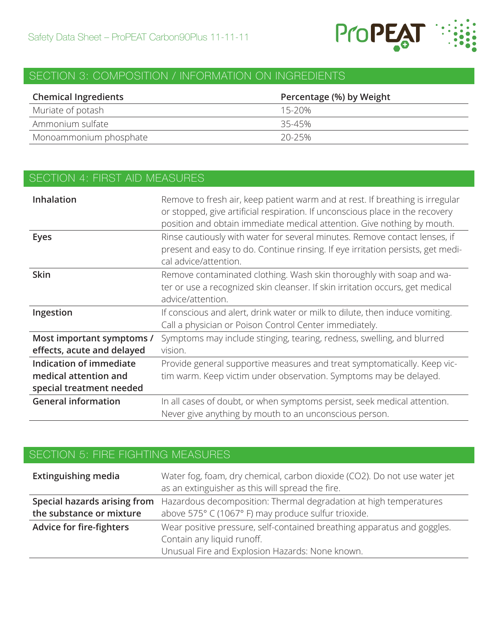

## SECTION 3: COMPOSITION / INFORMATION ON INGREDIENTS

| <b>Chemical Ingredients</b> | Percentage (%) by Weight |
|-----------------------------|--------------------------|
| Muriate of potash           | 15-20%                   |
| Ammonium sulfate            | 35-45%                   |
| Monoammonium phosphate      | $20 - 25\%$              |

| <b>SECTION 4: FIRST AID MEASURES</b>                                         |                                                                                                                                                                                                                                           |
|------------------------------------------------------------------------------|-------------------------------------------------------------------------------------------------------------------------------------------------------------------------------------------------------------------------------------------|
| Inhalation                                                                   | Remove to fresh air, keep patient warm and at rest. If breathing is irregular<br>or stopped, give artificial respiration. If unconscious place in the recovery<br>position and obtain immediate medical attention. Give nothing by mouth. |
| <b>Eyes</b>                                                                  | Rinse cautiously with water for several minutes. Remove contact lenses, if<br>present and easy to do. Continue rinsing. If eye irritation persists, get medi-<br>cal advice/attention.                                                    |
| <b>Skin</b>                                                                  | Remove contaminated clothing. Wash skin thoroughly with soap and wa-<br>ter or use a recognized skin cleanser. If skin irritation occurs, get medical<br>advice/attention.                                                                |
| Ingestion                                                                    | If conscious and alert, drink water or milk to dilute, then induce vomiting.<br>Call a physician or Poison Control Center immediately.                                                                                                    |
| Most important symptoms /<br>effects, acute and delayed                      | Symptoms may include stinging, tearing, redness, swelling, and blurred<br>vision.                                                                                                                                                         |
| Indication of immediate<br>medical attention and<br>special treatment needed | Provide general supportive measures and treat symptomatically. Keep vic-<br>tim warm. Keep victim under observation. Symptoms may be delayed.                                                                                             |
| <b>General information</b>                                                   | In all cases of doubt, or when symptoms persist, seek medical attention.<br>Never give anything by mouth to an unconscious person.                                                                                                        |

# SECTION 5: FIRE FIGHTING MEASURES

| Water fog, foam, dry chemical, carbon dioxide (CO2). Do not use water jet<br>as an extinguisher as this will spread the fire. |
|-------------------------------------------------------------------------------------------------------------------------------|
| <b>Special hazards arising from</b> Hazardous decomposition: Thermal degradation at high temperatures                         |
| above 575° C (1067° F) may produce sulfur trioxide.                                                                           |
| Wear positive pressure, self-contained breathing apparatus and goggles.                                                       |
| Contain any liquid runoff.<br>Unusual Fire and Explosion Hazards: None known.                                                 |
|                                                                                                                               |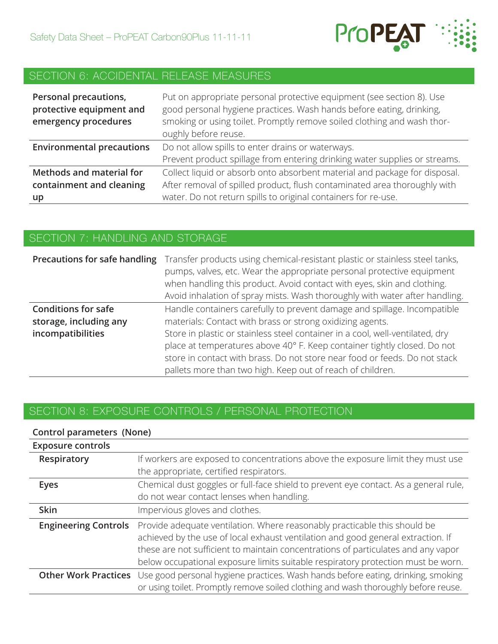

# SECTION 6: ACCIDENTAL RELEASE MEASURES

| Personal precautions,<br>protective equipment and<br>emergency procedures | Put on appropriate personal protective equipment (see section 8). Use<br>good personal hygiene practices. Wash hands before eating, drinking,<br>smoking or using toilet. Promptly remove soiled clothing and wash thor-<br>oughly before reuse. |
|---------------------------------------------------------------------------|--------------------------------------------------------------------------------------------------------------------------------------------------------------------------------------------------------------------------------------------------|
| <b>Environmental precautions</b>                                          | Do not allow spills to enter drains or waterways.                                                                                                                                                                                                |
|                                                                           | Prevent product spillage from entering drinking water supplies or streams.                                                                                                                                                                       |
| <b>Methods and material for</b>                                           | Collect liquid or absorb onto absorbent material and package for disposal.                                                                                                                                                                       |
| containment and cleaning                                                  | After removal of spilled product, flush contaminated area thoroughly with                                                                                                                                                                        |
| up                                                                        | water. Do not return spills to original containers for re-use.                                                                                                                                                                                   |

#### SECTION 7: HANDLING AND STORAGE

| Precautions for safe handling                                             | Transfer products using chemical-resistant plastic or stainless steel tanks,<br>pumps, valves, etc. Wear the appropriate personal protective equipment<br>when handling this product. Avoid contact with eyes, skin and clothing.<br>Avoid inhalation of spray mists. Wash thoroughly with water after handling.                                                                                                                               |
|---------------------------------------------------------------------------|------------------------------------------------------------------------------------------------------------------------------------------------------------------------------------------------------------------------------------------------------------------------------------------------------------------------------------------------------------------------------------------------------------------------------------------------|
| <b>Conditions for safe</b><br>storage, including any<br>incompatibilities | Handle containers carefully to prevent damage and spillage. Incompatible<br>materials: Contact with brass or strong oxidizing agents.<br>Store in plastic or stainless steel container in a cool, well-ventilated, dry<br>place at temperatures above 40° F. Keep container tightly closed. Do not<br>store in contact with brass. Do not store near food or feeds. Do not stack<br>pallets more than two high. Keep out of reach of children. |

## SECTION 8: EXPOSURE CONTROLS / PERSONAL PROTECTION

#### **Control parameters (None)**

| <b>Exposure controls</b>    |                                                                                                                                                                                                                                                                                                                                        |
|-----------------------------|----------------------------------------------------------------------------------------------------------------------------------------------------------------------------------------------------------------------------------------------------------------------------------------------------------------------------------------|
| Respiratory                 | If workers are exposed to concentrations above the exposure limit they must use<br>the appropriate, certified respirators.                                                                                                                                                                                                             |
| <b>Eyes</b>                 | Chemical dust goggles or full-face shield to prevent eye contact. As a general rule,<br>do not wear contact lenses when handling.                                                                                                                                                                                                      |
| <b>Skin</b>                 | Impervious gloves and clothes.                                                                                                                                                                                                                                                                                                         |
| <b>Engineering Controls</b> | Provide adequate ventilation. Where reasonably practicable this should be<br>achieved by the use of local exhaust ventilation and good general extraction. If<br>these are not sufficient to maintain concentrations of particulates and any vapor<br>below occupational exposure limits suitable respiratory protection must be worn. |
|                             | Other Work Practices Use good personal hygiene practices. Wash hands before eating, drinking, smoking<br>or using toilet. Promptly remove soiled clothing and wash thoroughly before reuse.                                                                                                                                            |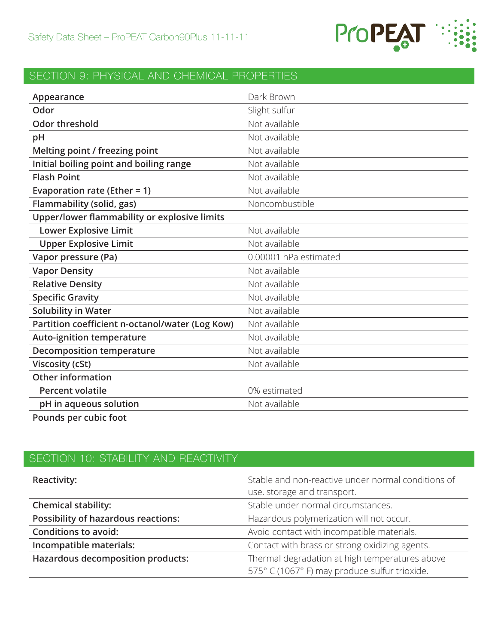

# SECTION 9: PHYSICAL AND CHEMICAL PROPERTIES

| Appearance                                      | Dark Brown            |
|-------------------------------------------------|-----------------------|
| Odor                                            | Slight sulfur         |
| <b>Odor threshold</b>                           | Not available         |
| pH                                              | Not available         |
| Melting point / freezing point                  | Not available         |
| Initial boiling point and boiling range         | Not available         |
| <b>Flash Point</b>                              | Not available         |
| Evaporation rate (Ether = $1$ )                 | Not available         |
| Flammability (solid, gas)                       | Noncombustible        |
| Upper/lower flammability or explosive limits    |                       |
| <b>Lower Explosive Limit</b>                    | Not available         |
| <b>Upper Explosive Limit</b>                    | Not available         |
| Vapor pressure (Pa)                             | 0.00001 hPa estimated |
| <b>Vapor Density</b>                            | Not available         |
| <b>Relative Density</b>                         | Not available         |
| <b>Specific Gravity</b>                         | Not available         |
| <b>Solubility in Water</b>                      | Not available         |
| Partition coefficient n-octanol/water (Log Kow) | Not available         |
| <b>Auto-ignition temperature</b>                | Not available         |
| <b>Decomposition temperature</b>                | Not available         |
| <b>Viscosity (cSt)</b>                          | Not available         |
| <b>Other information</b>                        |                       |
| <b>Percent volatile</b>                         | 0% estimated          |
| pH in aqueous solution                          | Not available         |
| Pounds per cubic foot                           |                       |

# SECTION 10: STABILITY AND REACTIVITY

| <b>Reactivity:</b>                         | Stable and non-reactive under normal conditions of |
|--------------------------------------------|----------------------------------------------------|
|                                            | use, storage and transport.                        |
| <b>Chemical stability:</b>                 | Stable under normal circumstances.                 |
| <b>Possibility of hazardous reactions:</b> | Hazardous polymerization will not occur.           |
| <b>Conditions to avoid:</b>                | Avoid contact with incompatible materials.         |
| Incompatible materials:                    | Contact with brass or strong oxidizing agents.     |
| <b>Hazardous decomposition products:</b>   | Thermal degradation at high temperatures above     |
|                                            | 575° C (1067° F) may produce sulfur trioxide.      |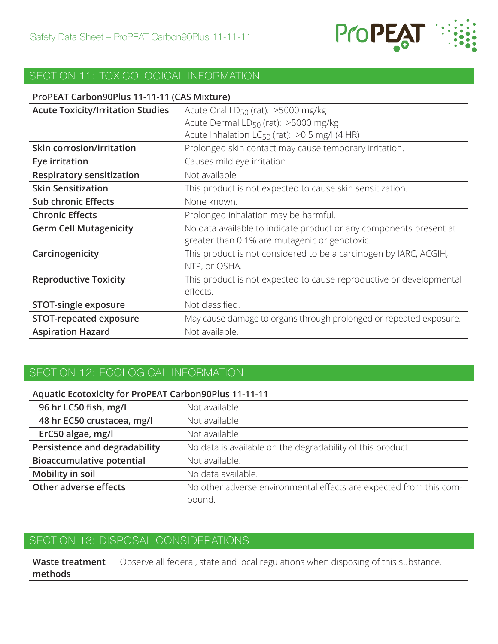

# SECTION 11: TOXICOLOGICAL INFORMATION

| ProPEAT Carbon90Plus 11-11-11 (CAS Mixture) |                                                                     |
|---------------------------------------------|---------------------------------------------------------------------|
| <b>Acute Toxicity/Irritation Studies</b>    | Acute Oral $LD_{50}$ (rat): >5000 mg/kg                             |
|                                             | Acute Dermal LD <sub>50</sub> (rat): >5000 mg/kg                    |
|                                             | Acute Inhalation $LC_{50}$ (rat): >0.5 mg/l (4 HR)                  |
| <b>Skin corrosion/irritation</b>            | Prolonged skin contact may cause temporary irritation.              |
| Eye irritation                              | Causes mild eye irritation.                                         |
| <b>Respiratory sensitization</b>            | Not available                                                       |
| <b>Skin Sensitization</b>                   | This product is not expected to cause skin sensitization.           |
| <b>Sub chronic Effects</b>                  | None known.                                                         |
| <b>Chronic Effects</b>                      | Prolonged inhalation may be harmful.                                |
| <b>Germ Cell Mutagenicity</b>               | No data available to indicate product or any components present at  |
|                                             | greater than 0.1% are mutagenic or genotoxic.                       |
| Carcinogenicity                             | This product is not considered to be a carcinogen by IARC, ACGIH,   |
|                                             | NTP, or OSHA.                                                       |
| <b>Reproductive Toxicity</b>                | This product is not expected to cause reproductive or developmental |
|                                             | effects.                                                            |
| <b>STOT-single exposure</b>                 | Not classified.                                                     |
| <b>STOT-repeated exposure</b>               | May cause damage to organs through prolonged or repeated exposure.  |
| <b>Aspiration Hazard</b>                    | Not available.                                                      |

## SECTION 12: ECOLOGICAL INFORMATION

#### **Aquatic Ecotoxicity for ProPEAT Carbon90Plus 11-11-11**

| 96 hr LC50 fish, mg/l            | Not available                                                      |
|----------------------------------|--------------------------------------------------------------------|
| 48 hr EC50 crustacea, mg/l       | Not available                                                      |
| ErC50 algae, mg/l                | Not available                                                      |
| Persistence and degradability    | No data is available on the degradability of this product.         |
| <b>Bioaccumulative potential</b> | Not available.                                                     |
| Mobility in soil                 | No data available.                                                 |
| Other adverse effects            | No other adverse environmental effects are expected from this com- |
|                                  | pound.                                                             |

#### SECTION 13: DISPOSAL CONSIDERATIONS

**Waste treatment methods** Observe all federal, state and local regulations when disposing of this substance.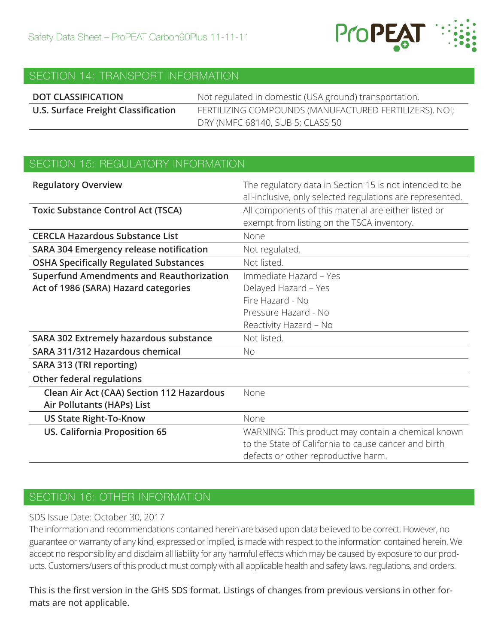

#### SECTION 14: TRANSPORT INFORMATION

| <b>DOT CLASSIFICATION</b>           | Not regulated in domestic (USA ground) transportation. |
|-------------------------------------|--------------------------------------------------------|
| U.S. Surface Freight Classification | FERTILIZING COMPOUNDS (MANUFACTURED FERTILIZERS), NOI; |
|                                     | DRY (NMFC 68140, SUB 5; CLASS 50                       |

## SECTION 15: REGULATORY INFORMATION

| <b>Regulatory Overview</b>                      | The regulatory data in Section 15 is not intended to be<br>all-inclusive, only selected regulations are represented. |
|-------------------------------------------------|----------------------------------------------------------------------------------------------------------------------|
| <b>Toxic Substance Control Act (TSCA)</b>       | All components of this material are either listed or<br>exempt from listing on the TSCA inventory.                   |
| <b>CERCLA Hazardous Substance List</b>          | None                                                                                                                 |
| SARA 304 Emergency release notification         | Not regulated.                                                                                                       |
| <b>OSHA Specifically Regulated Substances</b>   | Not listed.                                                                                                          |
| <b>Superfund Amendments and Reauthorization</b> | Immediate Hazard - Yes                                                                                               |
| Act of 1986 (SARA) Hazard categories            | Delayed Hazard - Yes                                                                                                 |
|                                                 | Fire Hazard - No                                                                                                     |
|                                                 | Pressure Hazard - No                                                                                                 |
|                                                 | Reactivity Hazard - No                                                                                               |
| SARA 302 Extremely hazardous substance          | Not listed.                                                                                                          |
| SARA 311/312 Hazardous chemical                 | <b>No</b>                                                                                                            |
| SARA 313 (TRI reporting)                        |                                                                                                                      |
| <b>Other federal regulations</b>                |                                                                                                                      |
| Clean Air Act (CAA) Section 112 Hazardous       | None                                                                                                                 |
| Air Pollutants (HAPs) List                      |                                                                                                                      |
| <b>US State Right-To-Know</b>                   | None                                                                                                                 |
| <b>US. California Proposition 65</b>            | WARNING: This product may contain a chemical known                                                                   |
|                                                 | to the State of California to cause cancer and birth                                                                 |
|                                                 | defects or other reproductive harm.                                                                                  |

### SECTION 16: OTHER INFORMATION

#### SDS Issue Date: October 30, 2017

The information and recommendations contained herein are based upon data believed to be correct. However, no guarantee or warranty of any kind, expressed or implied, is made with respect to the information contained herein. We accept no responsibility and disclaim all liability for any harmful effects which may be caused by exposure to our products. Customers/users of this product must comply with all applicable health and safety laws, regulations, and orders.

This is the first version in the GHS SDS format. Listings of changes from previous versions in other formats are not applicable.